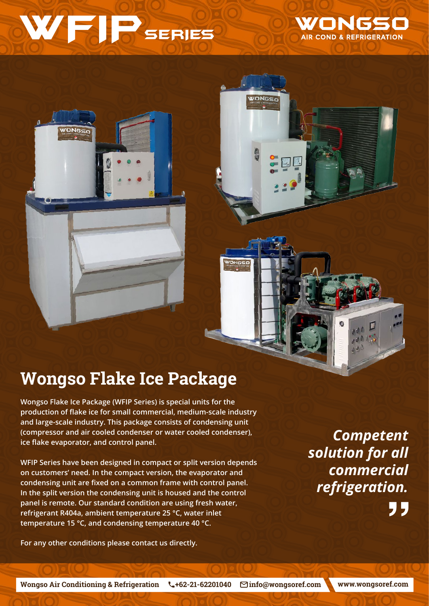## WFIP SERIES

WONGSO AIR COND & REFRIGERATION

## **Wongso Flake Ice Package**

**Wongso Flake Ice Package (WFIP Series) is special units for the production of flake ice for small commercial, medium-scale industry and large-scale industry. This package consists of condensing unit (compressor and air cooled condenser or water cooled condenser), ice flake evaporator, and control panel.**

**WFIP Series have been designed in compact or split version depends on customers' need. In the compact version, the evaporator and condensing unit are fixed on a common frame with control panel. In the split version the condensing unit is housed and the control panel is remote. Our standard condition are using fresh water, refrigerant R404a, ambient temperature 25 °C, water inlet temperature 15 °C, and condensing temperature 40 °C.**

**For any other conditions please contact us directly.**

*Competent solution for all commercial refrigeration.* 95